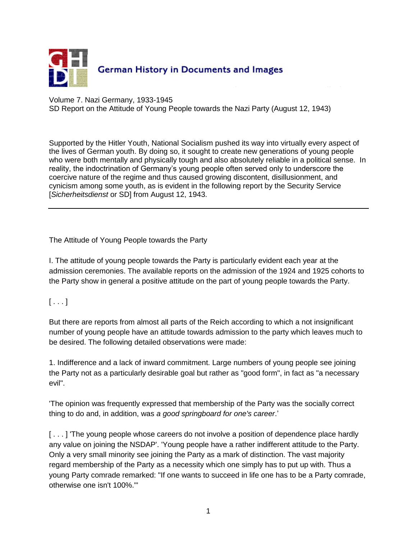

Volume 7. Nazi Germany, 1933-1945 SD Report on the Attitude of Young People towards the Nazi Party (August 12, 1943)

Supported by the Hitler Youth, National Socialism pushed its way into virtually every aspect of the lives of German youth. By doing so, it sought to create new generations of young people who were both mentally and physically tough and also absolutely reliable in a political sense. In reality, the indoctrination of Germany's young people often served only to underscore the coercive nature of the regime and thus caused growing discontent, disillusionment, and cynicism among some youth, as is evident in the following report by the Security Service [*Sicherheitsdienst* or SD] from August 12, 1943.

The Attitude of Young People towards the Party

I. The attitude of young people towards the Party is particularly evident each year at the admission ceremonies. The available reports on the admission of the 1924 and 1925 cohorts to the Party show in general a positive attitude on the part of young people towards the Party.

 $[\ldots]$ 

But there are reports from almost all parts of the Reich according to which a not insignificant number of young people have an attitude towards admission to the party which leaves much to be desired. The following detailed observations were made:

1. Indifference and a lack of inward commitment. Large numbers of young people see joining the Party not as a particularly desirable goal but rather as "good form", in fact as "a necessary evil".

'The opinion was frequently expressed that membership of the Party was the socially correct thing to do and, in addition, was *a good springboard for one's career*.'

[...] The young people whose careers do not involve a position of dependence place hardly any value on joining the NSDAP'. 'Young people have a rather indifferent attitude to the Party. Only a very small minority see joining the Party as a mark of distinction. The vast majority regard membership of the Party as a necessity which one simply has to put up with. Thus a young Party comrade remarked: "If one wants to succeed in life one has to be a Party comrade, otherwise one isn't 100%."'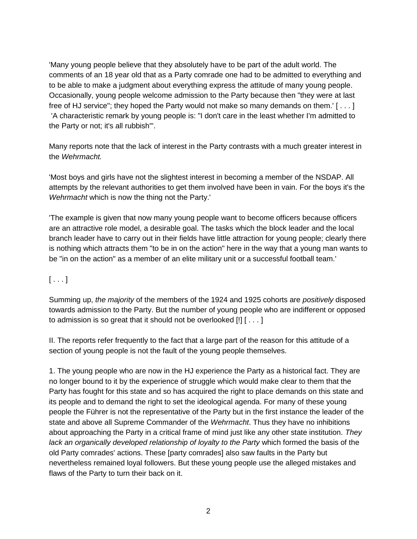'Many young people believe that they absolutely have to be part of the adult world. The comments of an 18 year old that as a Party comrade one had to be admitted to everything and to be able to make a judgment about everything express the attitude of many young people. Occasionally, young people welcome admission to the Party because then "they were at last free of HJ service"; they hoped the Party would not make so many demands on them.' [ . . . ] 'A characteristic remark by young people is: "I don't care in the least whether I'm admitted to the Party or not; it's all rubbish"'.

Many reports note that the lack of interest in the Party contrasts with a much greater interest in the *Wehrmacht.*

'Most boys and girls have not the slightest interest in becoming a member of the NSDAP. All attempts by the relevant authorities to get them involved have been in vain. For the boys it's the *Wehrmacht* which is now the thing not the Party.'

'The example is given that now many young people want to become officers because officers are an attractive role model, a desirable goal. The tasks which the block leader and the local branch leader have to carry out in their fields have little attraction for young people; clearly there is nothing which attracts them "to be in on the action" here in the way that a young man wants to be "in on the action" as a member of an elite military unit or a successful football team.'

## $[\ldots]$

Summing up, *the majority* of the members of the 1924 and 1925 cohorts are *positively* disposed towards admission to the Party. But the number of young people who are indifferent or opposed to admission is so great that it should not be overlooked [!] [ . . . ]

II. The reports refer frequently to the fact that a large part of the reason for this attitude of a section of young people is not the fault of the young people themselves.

1. The young people who are now in the HJ experience the Party as a historical fact. They are no longer bound to it by the experience of struggle which would make clear to them that the Party has fought for this state and so has acquired the right to place demands on this state and its people and to demand the right to set the ideological agenda. For many of these young people the Führer is not the representative of the Party but in the first instance the leader of the state and above all Supreme Commander of the *Wehrmacht*. Thus they have no inhibitions about approaching the Party in a critical frame of mind just like any other state institution. *They lack an organically developed relationship of loyalty to the Party* which formed the basis of the old Party comrades' actions. These [party comrades] also saw faults in the Party but nevertheless remained loyal followers. But these young people use the alleged mistakes and flaws of the Party to turn their back on it.